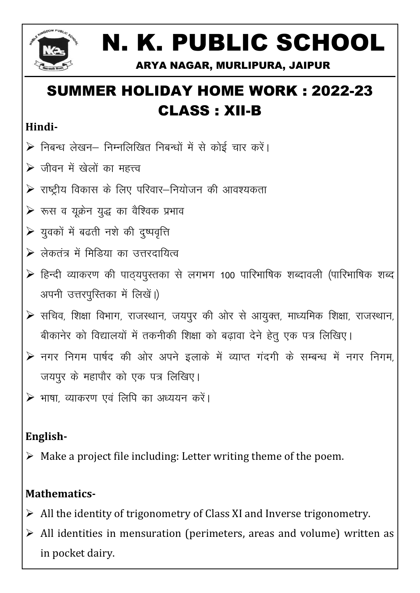

# N. K. PUBLIC SCHOOL

ARYA NAGAR, MURLIPURA, JAIPUR

# **SUMMER HOLIDAY HOME WORK: 2022-23 CLASS: XII-B**

#### Hindi-

- ▶ निबन्ध लेखन- निम्नलिखित निबन्धों में से कोई चार करें।
- $\triangleright$  जीवन में खेलों का महत्त्व
- $\triangleright$  राष्ट्रीय विकास के लिए परिवार–नियोजन की आवश्यकता
- $\triangleright$  रूस व युक्रेन युद्ध का वैश्विक प्रभाव
- ▶ युवकों में बढती नशे की दुष्पवृत्ति
- ≻ लेकतंत्र में मिडिया का उत्तरदायित्व
- ▶ हिन्दी व्याकरण की पाठ्यपुस्तका से लगभग 100 पारिभाषिक शब्दावली (पारिभाषिक शब्द अपनी उत्तरपुस्तिका में लिखें।)
- $\triangleright$  सचिव, शिक्षा विभाग, राजस्थान, जयपुर की ओर से आयुक्त, माध्यमिक शिक्षा, राजस्थान, बीकानेर को विद्यालयों में तकनीकी शिक्षा को बढावा देने हेतु एक पत्र लिखिए।
- ▶ नगर निगम पार्षद की ओर अपने इलाके में व्याप्त गंदगी के सम्बन्ध में नगर निगम, जयपुर के महापौर को एक पत्र लिखिए।
- ⊁ भाषा, व्याकरण एवं लिपि का अध्ययन करें।

## English-

 $\triangleright$  Make a project file including: Letter writing theme of the poem.

## **Mathematics-**

- $\triangleright$  All the identity of trigonometry of Class XI and Inverse trigonometry.
- $\triangleright$  All identities in mensuration (perimeters, areas and volume) written as in pocket dairy.